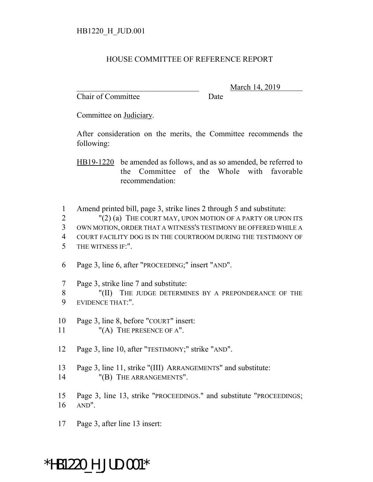## HOUSE COMMITTEE OF REFERENCE REPORT

Chair of Committee Date

March 14, 2019

Committee on Judiciary.

After consideration on the merits, the Committee recommends the following:

HB19-1220 be amended as follows, and as so amended, be referred to the Committee of the Whole with favorable recommendation:

1 Amend printed bill, page 3, strike lines 2 through 5 and substitute:

2 "(2) (a) THE COURT MAY, UPON MOTION OF A PARTY OR UPON ITS

3 OWN MOTION, ORDER THAT A WITNESS'S TESTIMONY BE OFFERED WHILE A

- 4 COURT FACILITY DOG IS IN THE COURTROOM DURING THE TESTIMONY OF 5 THE WITNESS IF:".
- 6 Page 3, line 6, after "PROCEEDING;" insert "AND".
- 7 Page 3, strike line 7 and substitute:

8 "(II) THE JUDGE DETERMINES BY A PREPONDERANCE OF THE 9 EVIDENCE THAT:".

- 10 Page 3, line 8, before "COURT" insert:
- 11 "(A) THE PRESENCE OF A".
- 12 Page 3, line 10, after "TESTIMONY;" strike "AND".
- 13 Page 3, line 11, strike "(III) ARRANGEMENTS" and substitute:
- 14 "(B) THE ARRANGEMENTS".
- 15 Page 3, line 13, strike "PROCEEDINGS." and substitute "PROCEEDINGS; 16 AND".
- 17 Page 3, after line 13 insert:

## \*HB1220\_H\_JUD.001\*